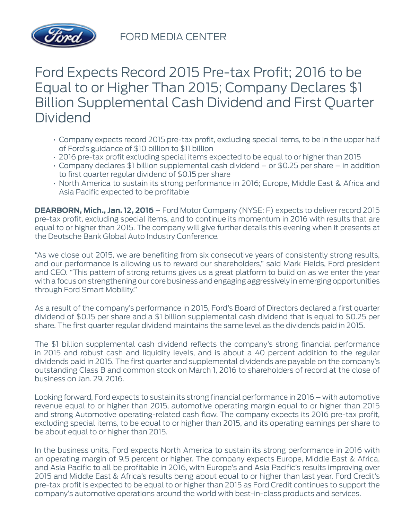

## Ford Expects Record 2015 Pre-tax Profit; 2016 to be Equal to or Higher Than 2015; Company Declares \$1 Billion Supplemental Cash Dividend and First Quarter Dividend

- Company expects record 2015 pre-tax profit, excluding special items, to be in the upper half of Ford's guidance of \$10 billion to \$11 billion
- 2016 pre-tax profit excluding special items expected to be equal to or higher than 2015
- Company declares \$1 billion supplemental cash dividend or \$0.25 per share in addition to first quarter regular dividend of \$0.15 per share
- North America to sustain its strong performance in 2016; Europe, Middle East & Africa and Asia Pacific expected to be profitable

**DEARBORN, Mich., Jan. 12, 2016** – Ford Motor Company (NYSE: F) expects to deliver record 2015 pre-tax profit, excluding special items, and to continue its momentum in 2016 with results that are equal to or higher than 2015. The company will give further details this evening when it presents at the Deutsche Bank Global Auto Industry Conference.

"As we close out 2015, we are benefiting from six consecutive years of consistently strong results, and our performance is allowing us to reward our shareholders," said Mark Fields, Ford president and CEO. "This pattern of strong returns gives us a great platform to build on as we enter the year with a focus on strengthening our core business and engaging aggressively in emerging opportunities through Ford Smart Mobility."

As a result of the company's performance in 2015, Ford's Board of Directors declared a first quarter dividend of \$0.15 per share and a \$1 billion supplemental cash dividend that is equal to \$0.25 per share. The first quarter regular dividend maintains the same level as the dividends paid in 2015.

The \$1 billion supplemental cash dividend reflects the company's strong financial performance in 2015 and robust cash and liquidity levels, and is about a 40 percent addition to the regular dividends paid in 2015. The first quarter and supplemental dividends are payable on the company's outstanding Class B and common stock on March 1, 2016 to shareholders of record at the close of business on Jan. 29, 2016.

Looking forward, Ford expects to sustain its strong financial performance in 2016 – with automotive revenue equal to or higher than 2015, automotive operating margin equal to or higher than 2015 and strong Automotive operating-related cash flow. The company expects its 2016 pre-tax profit, excluding special items, to be equal to or higher than 2015, and its operating earnings per share to be about equal to or higher than 2015.

In the business units, Ford expects North America to sustain its strong performance in 2016 with an operating margin of 9.5 percent or higher. The company expects Europe, Middle East & Africa, and Asia Pacific to all be profitable in 2016, with Europe's and Asia Pacific's results improving over 2015 and Middle East & Africa's results being about equal to or higher than last year. Ford Credit's pre-tax profit is expected to be equal to or higher than 2015 as Ford Credit continues to support the company's automotive operations around the world with best-in-class products and services.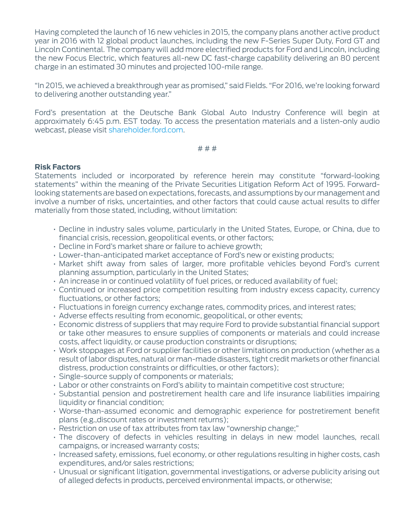Having completed the launch of 16 new vehicles in 2015, the company plans another active product year in 2016 with 12 global product launches, including the new F-Series Super Duty, Ford GT and Lincoln Continental. The company will add more electrified products for Ford and Lincoln, including the new Focus Electric, which features all-new DC fast-charge capability delivering an 80 percent charge in an estimated 30 minutes and projected 100-mile range.

"In 2015, we achieved a breakthrough year as promised," said Fields. "For 2016, we're looking forward to delivering another outstanding year."

Ford's presentation at the Deutsche Bank Global Auto Industry Conference will begin at approximately 6:45 p.m. EST today. To access the presentation materials and a listen-only audio webcast, please visit [shareholder.ford.com](http://shareholder.ford.com/).

# # #

## **Risk Factors**

Statements included or incorporated by reference herein may constitute "forward-looking statements" within the meaning of the Private Securities Litigation Reform Act of 1995. Forwardlooking statements are based on expectations, forecasts, and assumptions by our management and involve a number of risks, uncertainties, and other factors that could cause actual results to differ materially from those stated, including, without limitation:

- Decline in industry sales volume, particularly in the United States, Europe, or China, due to financial crisis, recession, geopolitical events, or other factors;
- Decline in Ford's market share or failure to achieve growth;
- Lower-than-anticipated market acceptance of Ford's new or existing products;
- Market shift away from sales of larger, more profitable vehicles beyond Ford's current planning assumption, particularly in the United States;
- An increase in or continued volatility of fuel prices, or reduced availability of fuel;
- Continued or increased price competition resulting from industry excess capacity, currency fluctuations, or other factors;
- Fluctuations in foreign currency exchange rates, commodity prices, and interest rates;
- Adverse effects resulting from economic, geopolitical, or other events;
- Economic distress of suppliers that may require Ford to provide substantial financial support or take other measures to ensure supplies of components or materials and could increase costs, affect liquidity, or cause production constraints or disruptions;
- Work stoppages at Ford or supplier facilities or other limitations on production (whether as a result of labor disputes, natural or man-made disasters, tight credit markets or other financial distress, production constraints or difficulties, or other factors);
- Single-source supply of components or materials;
- Labor or other constraints on Ford's ability to maintain competitive cost structure;
- Substantial pension and postretirement health care and life insurance liabilities impairing liquidity or financial condition;
- Worse-than-assumed economic and demographic experience for postretirement benefit plans (e.g.,discount rates or investment returns);
- Restriction on use of tax attributes from tax law "ownership change;"
- The discovery of defects in vehicles resulting in delays in new model launches, recall campaigns, or increased warranty costs;
- Increased safety, emissions, fuel economy, or other regulations resulting in higher costs, cash expenditures, and/or sales restrictions;
- Unusual or significant litigation, governmental investigations, or adverse publicity arising out of alleged defects in products, perceived environmental impacts, or otherwise;